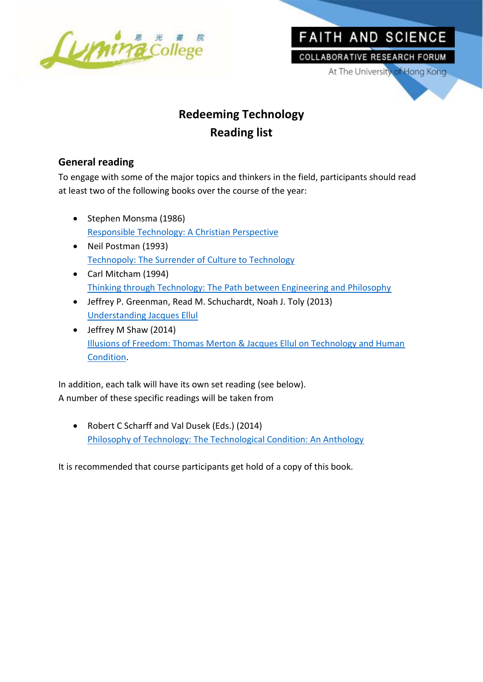

# FAITH AND SCIENCE **COLLABORATIVE RESEARCH FORUM**

At The University of Hong Kong

## **Redeeming Technology Reading list**

## **General reading**

To engage with some of the major topics and thinkers in the field, participants should read at least two of the following books over the course of the year:

- Stephen Monsma (1986) [Responsible Technology: A Christian Perspective](https://www.amazon.com/Responsible-Technology-Mr-Stephen-Monsma/dp/0802801757/ref=sr_1_1?ie=UTF8&qid=1495708700&sr=8-1&keywords=Responsible+Technology%3A+A+Christian+Perspective)
- Neil Postman (1993) [Technopoly: The Surrender of Culture to Technology](https://www.amazon.com/Technopoly-Surrender-Technology-Neil-Postman/dp/0679745408/)
- Carl Mitcham (1994) [Thinking through Technology: The Path between Engineering and Philosophy](https://www.amazon.com/Thinking-through-Technology-Engineering-Philosophy/dp/0226531988/ref=sr_1_1?ie=UTF8&qid=1495779645&sr=8-1&keywords=Thinking+through+Technology%3A+The+Path+between+Engineering+and+Philosophy)
- Jeffrey P. Greenman, Read M. Schuchardt, Noah J. Toly (2013) [Understanding Jacques Ellul](https://www.amazon.com/Understanding-Jacques-Ellul-Jeffrey-Greenman/dp/0227174062)
- Jeffrey M Shaw (2014) [Illusions of Freedom: Thomas Merton & Jacques Ellul on Technology and Human](https://www.amazon.com/Illusions-Freedom-Jacques-Technology-Condition/dp/1625640587/)  [Condition.](https://www.amazon.com/Illusions-Freedom-Jacques-Technology-Condition/dp/1625640587/)

In addition, each talk will have its own set reading (see below). A number of these specific readings will be taken from

 Robert C Scharff and Val Dusek (Eds.) (2014) [Philosophy of Technology: The Technological Condition: An Anthology](https://www.amazon.com/Philosophy-Technology-Technological-Condition-Anthology/dp/111854725X/)

It is recommended that course participants get hold of a copy of this book.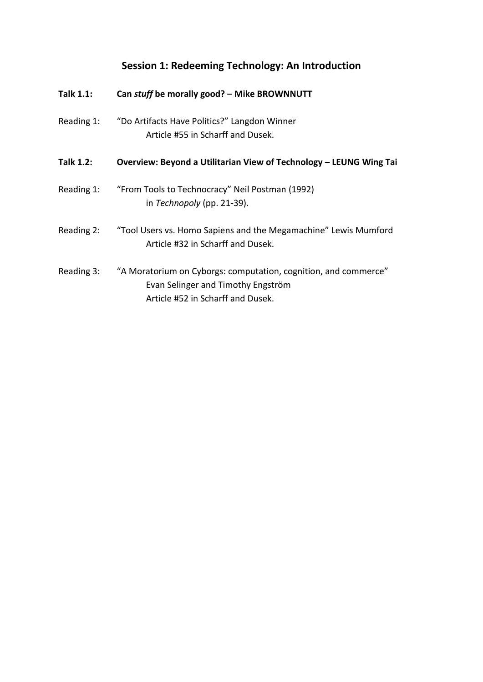## **Session 1: Redeeming Technology: An Introduction**

| <b>Talk 1.1:</b> | Can stuff be morally good? - Mike BROWNNUTT                                                                                                |
|------------------|--------------------------------------------------------------------------------------------------------------------------------------------|
| Reading 1:       | "Do Artifacts Have Politics?" Langdon Winner<br>Article #55 in Scharff and Dusek.                                                          |
| <b>Talk 1.2:</b> | Overview: Beyond a Utilitarian View of Technology – LEUNG Wing Tai                                                                         |
| Reading 1:       | "From Tools to Technocracy" Neil Postman (1992)<br>in Technopoly (pp. 21-39).                                                              |
| Reading 2:       | "Tool Users vs. Homo Sapiens and the Megamachine" Lewis Mumford<br>Article #32 in Scharff and Dusek.                                       |
| Reading 3:       | "A Moratorium on Cyborgs: computation, cognition, and commerce"<br>Evan Selinger and Timothy Engström<br>Article #52 in Scharff and Dusek. |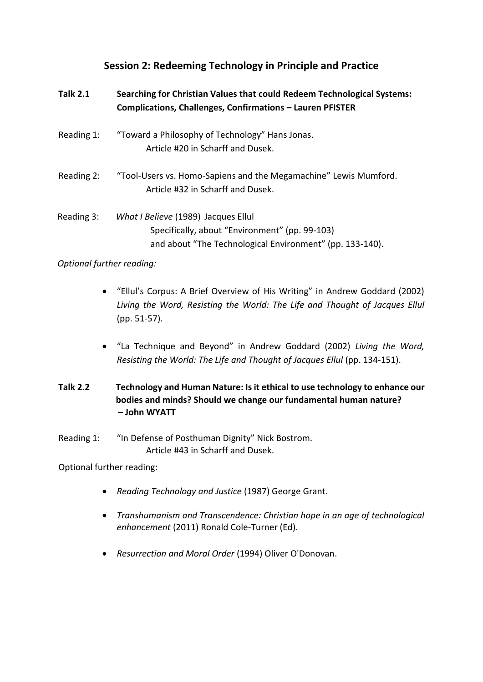## **Session 2: Redeeming Technology in Principle and Practice**

| <b>Talk 2.1</b> | Searching for Christian Values that could Redeem Technological Systems:<br>Complications, Challenges, Confirmations - Lauren PFISTER              |
|-----------------|---------------------------------------------------------------------------------------------------------------------------------------------------|
| Reading 1:      | "Toward a Philosophy of Technology" Hans Jonas.<br>Article #20 in Scharff and Dusek.                                                              |
| Reading 2:      | "Tool-Users vs. Homo-Sapiens and the Megamachine" Lewis Mumford.<br>Article #32 in Scharff and Dusek.                                             |
| Reading 3:      | What I Believe (1989) Jacques Ellul<br>Specifically, about "Environment" (pp. 99-103)<br>and about "The Technological Environment" (pp. 133-140). |

#### *Optional further reading:*

- "Ellul's Corpus: A Brief Overview of His Writing" in Andrew Goddard (2002) *Living the Word, Resisting the World: The Life and Thought of Jacques Ellul* (pp. 51-57).
- "La Technique and Beyond" in Andrew Goddard (2002) *Living the Word, Resisting the World: The Life and Thought of Jacques Ellul* (pp. 134-151).
- **Talk 2.2 Technology and Human Nature: Is it ethical to use technology to enhance our bodies and minds? Should we change our fundamental human nature? – John WYATT**
- Reading 1: "In Defense of Posthuman Dignity" Nick Bostrom. Article #43 in Scharff and Dusek.

Optional further reading:

- *Reading Technology and Justice* (1987) George Grant.
- *Transhumanism and Transcendence: Christian hope in an age of technological enhancement* (2011) Ronald Cole-Turner (Ed).
- *Resurrection and Moral Order* (1994) Oliver O'Donovan.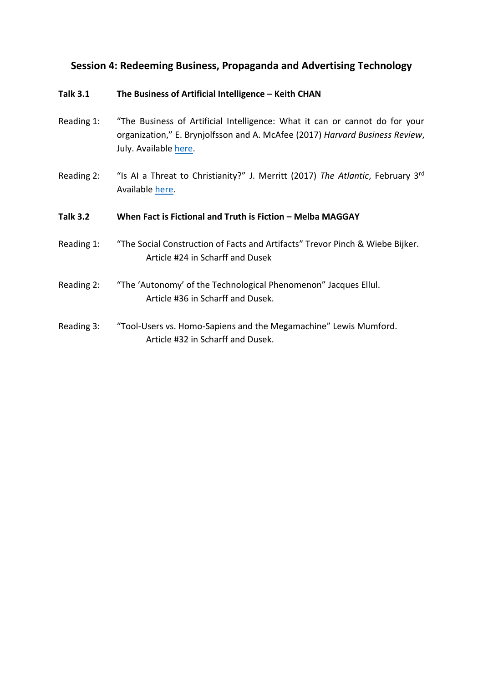### **Session 4: Redeeming Business, Propaganda and Advertising Technology**

#### **Talk 3.1 The Business of Artificial Intelligence – Keith CHAN**

- Reading 1: "The Business of Artificial Intelligence: What it can or cannot do for your organization," E. Brynjolfsson and A. McAfee (2017) *Harvard Business Review*, July. Available [here.](https://hbr.org/cover-story/2017/07/the-business-of-artificial-intelligence)
- Reading 2: "Is AI a Threat to Christianity?" J. Merritt (2017) The Atlantic, February 3<sup>rd</sup> Available [here.](https://www.theatlantic.com/technology/archive/2017/02/artificial-intelligence-christianity/515463/)

#### **Talk 3.2 When Fact is Fictional and Truth is Fiction – Melba MAGGAY**

- Reading 1: "The Social Construction of Facts and Artifacts" Trevor Pinch & Wiebe Bijker. Article #24 in Scharff and Dusek
- Reading 2: "The 'Autonomy' of the Technological Phenomenon" Jacques Ellul. Article #36 in Scharff and Dusek.
- Reading 3: "Tool-Users vs. Homo-Sapiens and the Megamachine" Lewis Mumford. Article #32 in Scharff and Dusek.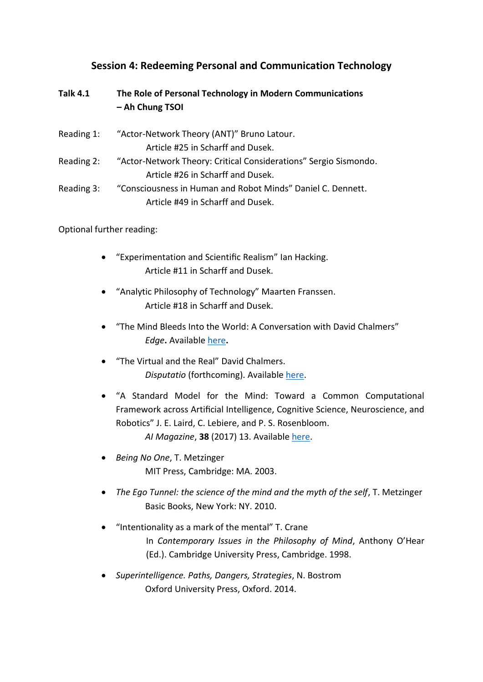## **Session 4: Redeeming Personal and Communication Technology**

| <b>Talk 4.1</b> | The Role of Personal Technology in Modern Communications<br>- Ah Chung TSOI |
|-----------------|-----------------------------------------------------------------------------|
| Reading 1:      | "Actor-Network Theory (ANT)" Bruno Latour.                                  |
|                 | Article #25 in Scharff and Dusek.                                           |
| Reading 2:      | "Actor-Network Theory: Critical Considerations" Sergio Sismondo.            |
|                 | Article #26 in Scharff and Dusek.                                           |
| Reading 3:      | "Consciousness in Human and Robot Minds" Daniel C. Dennett.                 |
|                 | Article #49 in Scharff and Dusek.                                           |

Optional further reading:

- "Experimentation and Scientific Realism" Ian Hacking. Article #11 in Scharff and Dusek.
- "Analytic Philosophy of Technology" Maarten Franssen. Article #18 in Scharff and Dusek.
- "The Mind Bleeds Into the World: A Conversation with David Chalmers" *Edge***.** Available [here](https://www.edge.org/conversation/david_chalmers-the-mind-bleeds-into-the-world)**.**
- "The Virtual and the Real" David Chalmers. *Disputatio* (forthcoming). Available [here.](http://consc.net/papers/virtual.pdf)
- "A Standard Model for the Mind: Toward a Common Computational Framework across Artificial Intelligence, Cognitive Science, Neuroscience, and Robotics" J. E. Laird, C. Lebiere, and P. S. Rosenbloom. *AI Magazine*, **38** (2017) 13. Availabl[e here.](https://www.researchgate.net/publication/322123676_A_Standard_Model_of_the_Mind_Toward_a_Common_Computational_Framework_across_Artificial_Intelligence_Cognitive_Science_Neuroscience_and_Robotics)
- *Being No One*, T. Metzinger MIT Press, Cambridge: MA. 2003.
- *The Ego Tunnel: the science of the mind and the myth of the self*, T. Metzinger Basic Books, New York: NY. 2010.
- "Intentionality as a mark of the mental" T. Crane In *Contemporary Issues in the Philosophy of Mind*, Anthony O'Hear (Ed.). Cambridge University Press, Cambridge. 1998.
- *Superintelligence. Paths, Dangers, Strategies*, N. Bostrom Oxford University Press, Oxford. 2014.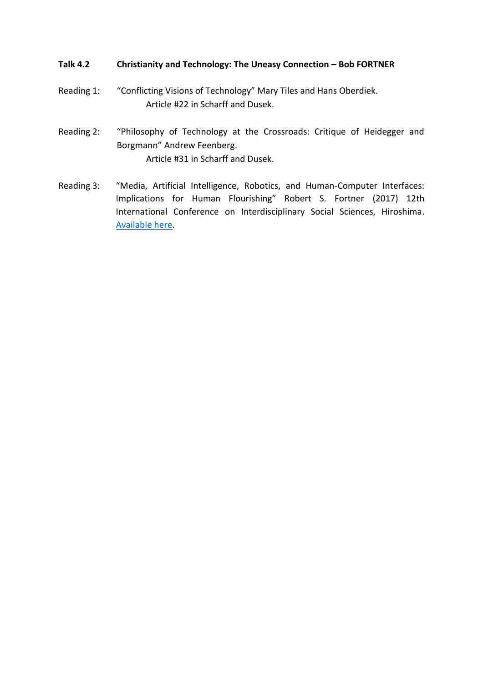#### **Talk 4.2 Christianity and Technology: The Uneasy Connection – Bob FORTNER**

- Reading 1: "Conflicting Visions of Technology" Mary Tiles and Hans Oberdiek. Article #22 in Scharff and Dusek.
- Reading 2: "Philosophy of Technology at the Crossroads: Critique of Heidegger and Borgmann" Andrew Feenberg. Article #31 in Scharff and Dusek.
- Reading 3: "Media, Artificial Intelligence, Robotics, and Human-Computer Interfaces: Implications for Human Flourishing" Robert S. Fortner (2017) 12th International Conference on Interdisciplinary Social Sciences, Hiroshima. [Available here.](http://faithandscience.hku.hk/media/20180407_redtech4/fortner17-redeemingcommunication.pdf)